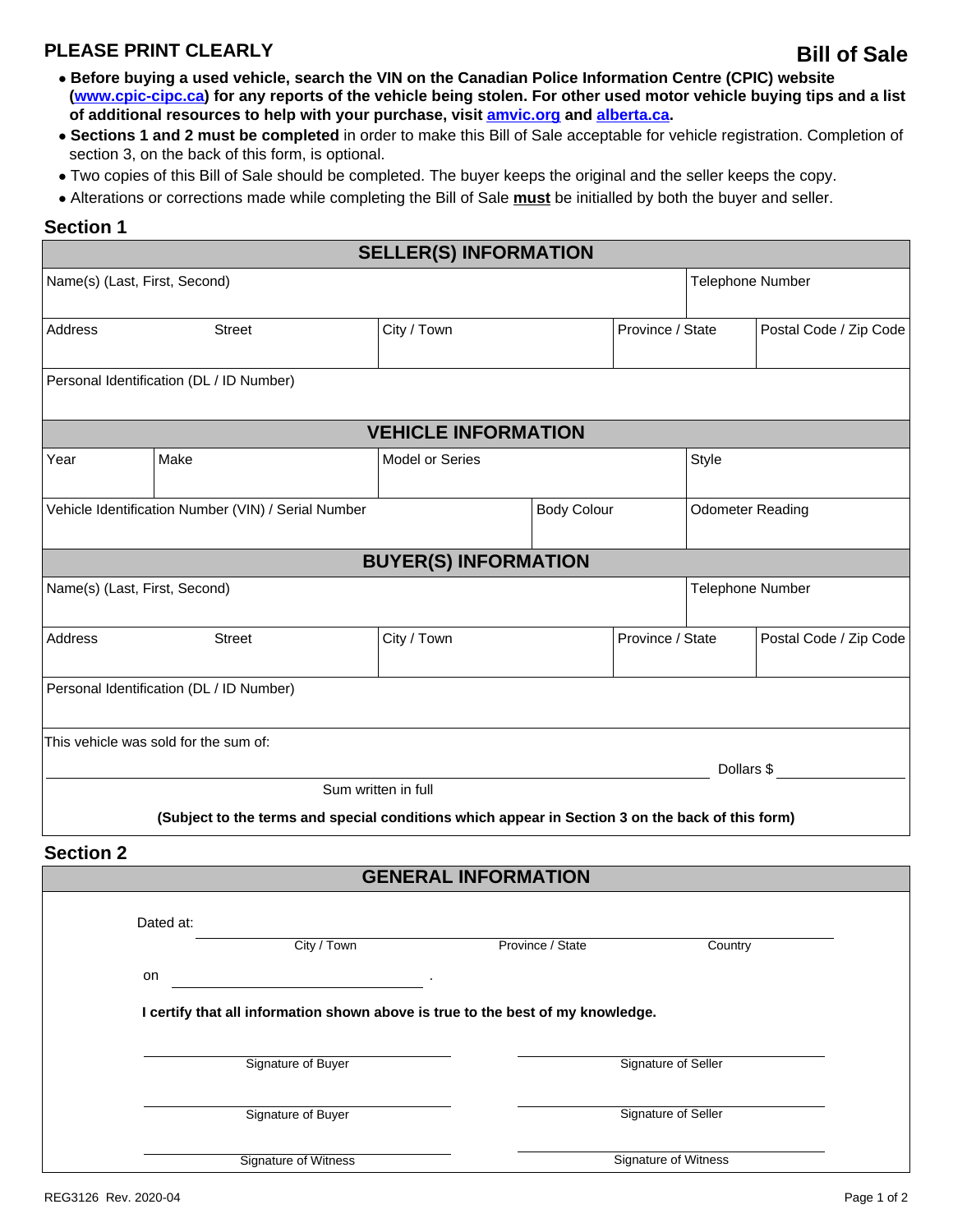## **PLEASE PRINT CLEARLY**

- **Before buying a used vehicle, search the VIN on the Canadian Police Information Centre (CPIC) website ([www.cpic-cipc.ca](http://www.cpic-cipc.ca)) for any reports of the vehicle being stolen. For other used motor vehicle buying tips and a list of additional resources to help with your purchase, visit [amvic.org](https://www.amvic.org/) and [alberta.ca](https://www.alberta.ca/).**
- **Sections 1 and 2 must be completed** in order to make this Bill of Sale acceptable for vehicle registration. Completion of section 3, on the back of this form, is optional.
- Two copies of this Bill of Sale should be completed. The buyer keeps the original and the seller keeps the copy.
- Alterations or corrections made while completing the Bill of Sale **must** be initialled by both the buyer and seller.

## **Section 1**

|                                                     |                                                                                                  | <b>SELLER(S) INFORMATION</b> |                      |                  |                         |                        |
|-----------------------------------------------------|--------------------------------------------------------------------------------------------------|------------------------------|----------------------|------------------|-------------------------|------------------------|
|                                                     | Name(s) (Last, First, Second)                                                                    |                              | Telephone Number     |                  |                         |                        |
| Address                                             | <b>Street</b>                                                                                    | City / Town                  |                      | Province / State |                         | Postal Code / Zip Code |
|                                                     | Personal Identification (DL / ID Number)                                                         |                              |                      |                  |                         |                        |
|                                                     |                                                                                                  | <b>VEHICLE INFORMATION</b>   |                      |                  |                         |                        |
| Year                                                | Make                                                                                             | <b>Model or Series</b>       | <b>Style</b>         |                  |                         |                        |
| Vehicle Identification Number (VIN) / Serial Number |                                                                                                  |                              | <b>Body Colour</b>   |                  | <b>Odometer Reading</b> |                        |
|                                                     |                                                                                                  | <b>BUYER(S) INFORMATION</b>  |                      |                  |                         |                        |
| Name(s) (Last, First, Second)                       |                                                                                                  |                              |                      |                  | Telephone Number        |                        |
| Address                                             | <b>Street</b>                                                                                    | City / Town                  | Province / State     |                  |                         | Postal Code / Zip Code |
|                                                     | Personal Identification (DL / ID Number)                                                         |                              |                      |                  |                         |                        |
|                                                     | This vehicle was sold for the sum of:                                                            |                              |                      |                  |                         |                        |
|                                                     |                                                                                                  | Sum written in full          |                      |                  | Dollars \$              |                        |
|                                                     | (Subject to the terms and special conditions which appear in Section 3 on the back of this form) |                              |                      |                  |                         |                        |
| <b>Section 2</b>                                    |                                                                                                  |                              |                      |                  |                         |                        |
|                                                     |                                                                                                  | <b>GENERAL INFORMATION</b>   |                      |                  |                         |                        |
|                                                     | Dated at:                                                                                        |                              |                      |                  |                         |                        |
| City / Town                                         |                                                                                                  |                              | Province / State     |                  | Country                 |                        |
|                                                     | on                                                                                               |                              |                      |                  |                         |                        |
|                                                     | I certify that all information shown above is true to the best of my knowledge.                  |                              |                      |                  |                         |                        |
|                                                     | Signature of Buyer                                                                               |                              | Signature of Seller  |                  |                         |                        |
|                                                     | Signature of Buyer                                                                               |                              | Signature of Seller  |                  |                         |                        |
|                                                     | <b>Signature of Witness</b>                                                                      |                              | Signature of Witness |                  |                         |                        |